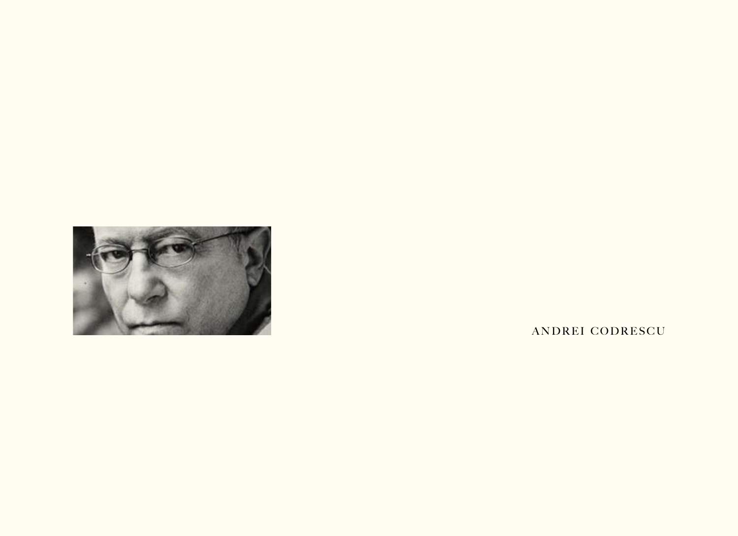

ANDREI CODRESCU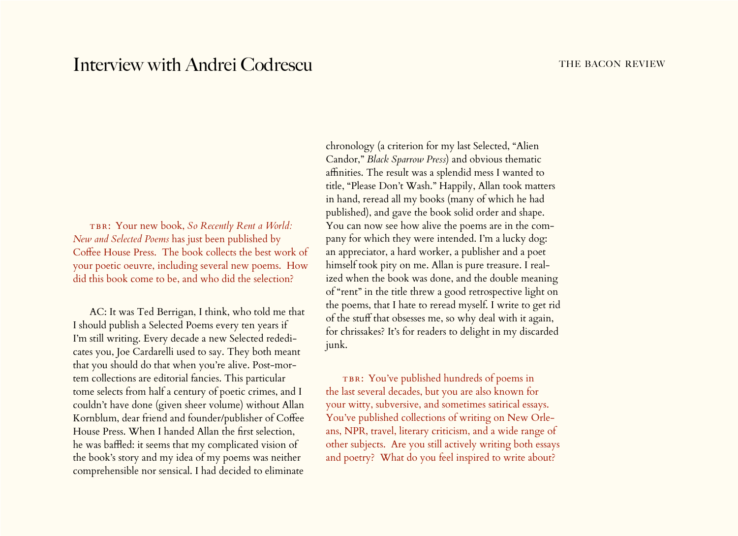## Interview with Andrei Codrescu THE BACON REVIEW

TBR: Your new book, So Recently Rent a World: *New and Selected Poems* has just been published by Coffee House Press. The book collects the best work of your poetic oeuvre, including several new poems. How did this book come to be, and who did the selection?

AC: It was Ted Berrigan, I think, who told me that I should publish a Selected Poems every ten years if I'm still writing. Every decade a new Selected rededicates you, Joe Cardarelli used to say. They both meant that you should do that when you're alive. Post-mortem collections are editorial fancies. This particular tome selects from half a century of poetic crimes, and I couldn't have done (given sheer volume) without Allan Kornblum, dear friend and founder/publisher of Coffee House Press. When I handed Allan the first selection, he was baffled: it seems that my complicated vision of the book's story and my idea of my poems was neither comprehensible nor sensical. I had decided to eliminate

chronology (a criterion for my last Selected, "Alien Candor," *Black Sparrow Press*) and obvious thematic affinities. The result was a splendid mess I wanted to title, "Please Don't Wash." Happily, Allan took matters in hand, reread all my books (many of which he had published), and gave the book solid order and shape. You can now see how alive the poems are in the company for which they were intended. I'm a lucky dog: an appreciator, a hard worker, a publisher and a poet himself took pity on me. Allan is pure treasure. I realized when the book was done, and the double meaning of "rent" in the title threw a good retrospective light on the poems, that I hate to reread myself. I write to get rid of the stuff that obsesses me, so why deal with it again, for chrissakes? It's for readers to delight in my discarded junk.

TBR: You've published hundreds of poems in the last several decades, but you are also known for your witty, subversive, and sometimes satirical essays. You've published collections of writing on New Orleans, NPR, travel, literary criticism, and a wide range of other subjects. Are you still actively writing both essays and poetry? What do you feel inspired to write about?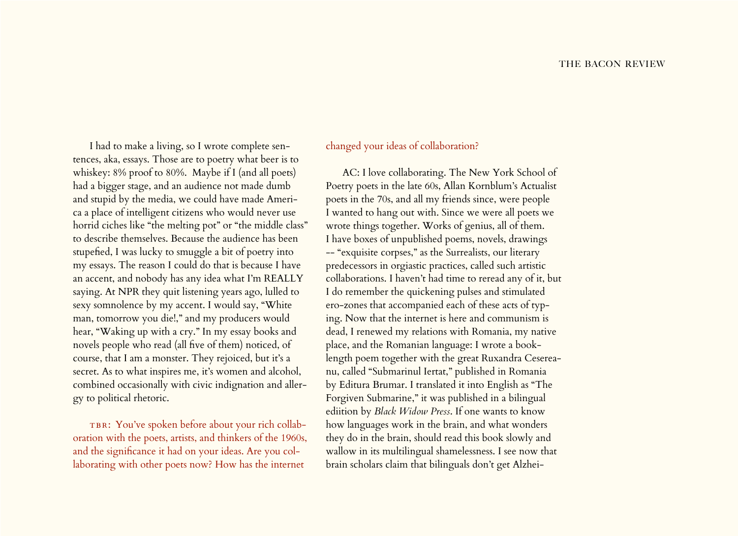I had to make a living, so I wrote complete sentences, aka, essays. Those are to poetry what beer is to whiskey: 8% proof to 80%. Maybe if I (and all poets) had a bigger stage, and an audience not made dumb and stupid by the media, we could have made America a place of intelligent citizens who would never use horrid ciches like "the melting pot" or "the middle class" to describe themselves. Because the audience has been stupefied, I was lucky to smuggle a bit of poetry into my essays. The reason I could do that is because I have an accent, and nobody has any idea what I'm REALLY saying. At NPR they quit listening years ago, lulled to sexy somnolence by my accent. I would say, "White man, tomorrow you die!," and my producers would hear, "Waking up with a cry." In my essay books and novels people who read (all five of them) noticed, of course, that I am a monster. They rejoiced, but it's a secret. As to what inspires me, it's women and alcohol, combined occasionally with civic indignation and allergy to political rhetoric.

TBR: You've spoken before about your rich collaboration with the poets, artists, and thinkers of the 1960s, and the significance it had on your ideas. Are you collaborating with other poets now? How has the internet

## changed your ideas of collaboration?

AC: I love collaborating. The New York School of Poetry poets in the late 60s, Allan Kornblum's Actualist poets in the 70s, and all my friends since, were people I wanted to hang out with. Since we were all poets we wrote things together. Works of genius, all of them. I have boxes of unpublished poems, novels, drawings -- "exquisite corpses," as the Surrealists, our literary predecessors in orgiastic practices, called such artistic collaborations. I haven't had time to reread any of it, but I do remember the quickening pulses and stimulated ero-zones that accompanied each of these acts of typing. Now that the internet is here and communism is dead, I renewed my relations with Romania, my native place, and the Romanian language: I wrote a booklength poem together with the great Ruxandra Cesereanu, called "Submarinul Iertat," published in Romania by Editura Brumar. I translated it into English as "The Forgiven Submarine," it was published in a bilingual ediition by *Black Widow Press*. If one wants to know how languages work in the brain, and what wonders they do in the brain, should read this book slowly and wallow in its multilingual shamelessness. I see now that brain scholars claim that bilinguals don't get Alzhei-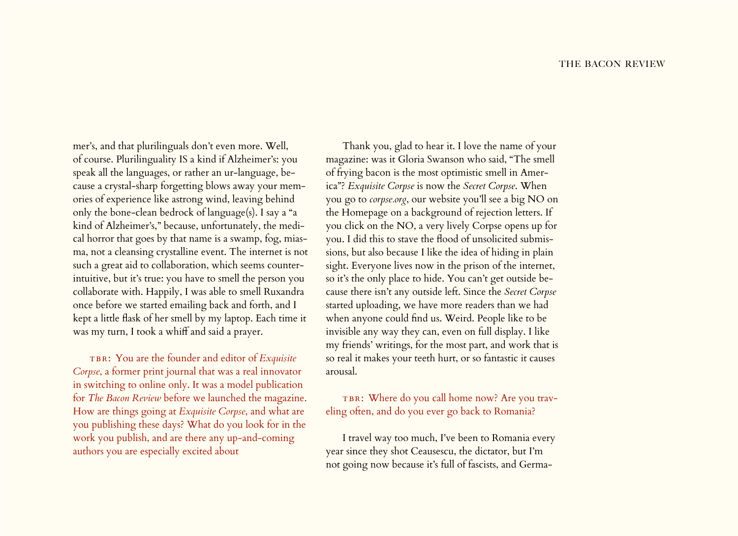mer's, and that plurilinguals don't even more. Well, of course. Plurilinguality IS a kind if Alzheimer's: you speak all the languages, or rather an ur-language, because a crystal-sharp forgetting blows away your memories of experience like astrong wind, leaving behind only the bone-clean bedrock of language(s). I say a "a kind of Alzheimer's," because, unfortunately, the medical horror that goes by that name is a swamp, fog, miasma, not a cleansing crystalline event. The internet is not such a great aid to collaboration, which seems counterintuitive, but it's true: you have to smell the person you collaborate with. Happily, I was able to smell Ruxandra once before we started emailing back and forth, and I kept a little flask of her smell by my laptop. Each time it was my turn, I took a whiff and said a prayer.

TBR: You are the founder and editor of *Exquisite Corpse*, a former print journal that was a real innovator in switching to online only. It was a model publication for *The Bacon Review* before we launched the magazine. How are things going at *Exquisite Corpse*, and what are you publishing these days? What do you look for in the work you publish, and are there any up-and-coming authors you are especially excited about

Thank you, glad to hear it. I love the name of your magazine: was it Gloria Swanson who said, "The smell of frying bacon is the most optimistic smell in America"? *Exquisite Corpse* is now the *Secret Corpse*. When you go to *[corpse.org](http://www.corpse.org)*, our website you'll see a big NO on the Homepage on a background of rejection letters. If you click on the NO, a very lively Corpse opens up for you. I did this to stave the flood of unsolicited submissions, but also because I like the idea of hiding in plain sight. Everyone lives now in the prison of the internet, so it's the only place to hide. You can't get outside because there isn't any outside left. Since the *Secret Corpse* started uploading, we have more readers than we had when anyone could find us. Weird. People like to be invisible any way they can, even on full display. I like my friends' writings, for the most part, and work that is so real it makes your teeth hurt, or so fantastic it causes arousal.

TBR: Where do you call home now? Are you traveling often, and do you ever go back to Romania?

I travel way too much, I've been to Romania every year since they shot Ceausescu, the dictator, but I'm not going now because it's full of fascists, and Germa-